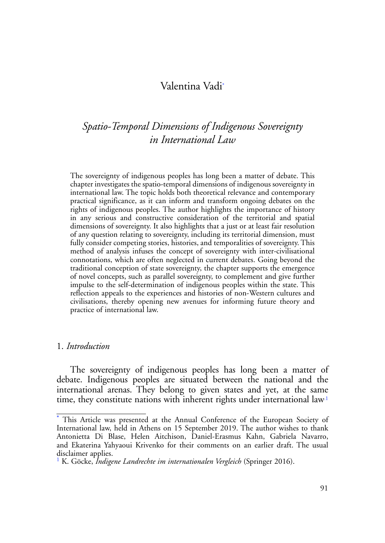## <span id="page-0-3"></span><span id="page-0-2"></span>Valentina Vad[i\\*](#page-0-0)

# *Spatio-Temporal Dimensions of Indigenous Sovereignty in International Law*

The sovereignty of indigenous peoples has long been a matter of debate. This chapter investigates the spatio-temporal dimensions of indigenous sovereignty in international law. The topic holds both theoretical relevance and contemporary practical significance, as it can inform and transform ongoing debates on the rights of indigenous peoples. The author highlights the importance of history in any serious and constructive consideration of the territorial and spatial dimensions of sovereignty. It also highlights that a just or at least fair resolution of any question relating to sovereignty, including its territorial dimension, must fully consider competing stories, histories, and temporalities of sovereignty. This method of analysis infuses the concept of sovereignty with inter-civilisational connotations, which are often neglected in current debates. Going beyond the traditional conception of state sovereignty, the chapter supports the emergence of novel concepts, such as parallel sovereignty, to complement and give further impulse to the self-determination of indigenous peoples within the state. This reflection appeals to the experiences and histories of non-Western cultures and civilisations, thereby opening new avenues for informing future theory and practice of international law.

#### 1. *Introduction*

The sovereignty of indigenous peoples has long been a matter of debate. Indigenous peoples are situated between the national and the international arenas. They belong to given states and yet, at the same time, they constitute nations with inherent rights under international law<sup>1</sup>

<span id="page-0-0"></span>[<sup>\\*</sup>](#page-0-3) This Article was presented at the Annual Conference of the European Society of International law, held in Athens on 15 September 2019. The author wishes to thank Antonietta Di Blase, Helen Aitchison, Daniel-Erasmus Kahn, Gabriela Navarro, and Ekaterina Yahyaoui Krivenko for their comments on an earlier draft. The usual disclaimer applies.

<span id="page-0-1"></span>[<sup>1</sup>](#page-0-2) K. Göcke, *Indigene Landrechte im internationalen Vergleich* (Springer 2016).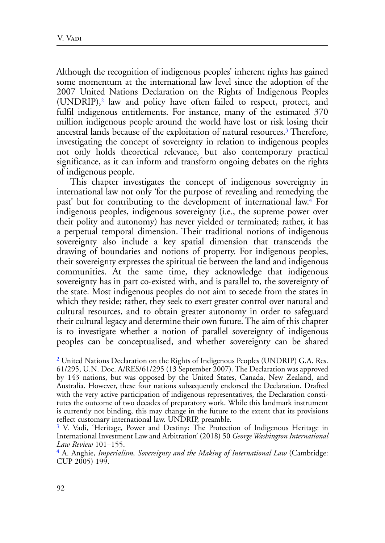<span id="page-1-3"></span>Although the recognition of indigenous peoples' inherent rights has gained some momentum at the international law level since the adoption of the 2007 United Nations Declaration on the Rights of Indigenous Peoples (UNDRIP),[2](#page-1-0) law and policy have often failed to respect, protect, and fulfil indigenous entitlements. For instance, many of the estimated 370 million indigenous people around the world have lost or risk losing their ancestral lands because of the exploitation of natural resources[.3](#page-1-1) Therefore, investigating the concept of sovereignty in relation to indigenous peoples not only holds theoretical relevance, but also contemporary practical significance, as it can inform and transform ongoing debates on the rights of indigenous people.

<span id="page-1-5"></span><span id="page-1-4"></span>This chapter investigates the concept of indigenous sovereignty in international law not only 'for the purpose of revealing and remedying the past' but for contributing to the development of international law[.4](#page-1-2) For indigenous peoples, indigenous sovereignty (i.e., the supreme power over their polity and autonomy) has never yielded or terminated; rather, it has a perpetual temporal dimension. Their traditional notions of indigenous sovereignty also include a key spatial dimension that transcends the drawing of boundaries and notions of property. For indigenous peoples, their sovereignty expresses the spiritual tie between the land and indigenous communities. At the same time, they acknowledge that indigenous sovereignty has in part co-existed with, and is parallel to, the sovereignty of the state. Most indigenous peoples do not aim to secede from the states in which they reside; rather, they seek to exert greater control over natural and cultural resources, and to obtain greater autonomy in order to safeguard their cultural legacy and determine their own future. The aim of this chapter is to investigate whether a notion of parallel sovereignty of indigenous peoples can be conceptualised, and whether sovereignty can be shared

<span id="page-1-0"></span>[<sup>2</sup>](#page-1-3) United Nations Declaration on the Rights of Indigenous Peoples (UNDRIP) G.A. Res. 61/295, U.N. Doc. A/RES/61/295 (13 September 2007). The Declaration was approved by 143 nations, but was opposed by the United States, Canada, New Zealand, and Australia. However, these four nations subsequently endorsed the Declaration. Drafted with the very active participation of indigenous representatives, the Declaration constitutes the outcome of two decades of preparatory work. While this landmark instrument is currently not binding, this may change in the future to the extent that its provisions reflect customary international law. UNDRIP, preamble.

<span id="page-1-1"></span>[<sup>3</sup>](#page-1-4) V. Vadi, 'Heritage, Power and Destiny: The Protection of Indigenous Heritage in International Investment Law and Arbitration' (2018) 50 *George Washington International Law Review* 101–155.

<span id="page-1-2"></span>[<sup>4</sup>](#page-1-5) A. Anghie, *Imperialism, Sovereignty and the Making of International Law* (Cambridge: CUP 2005) 199.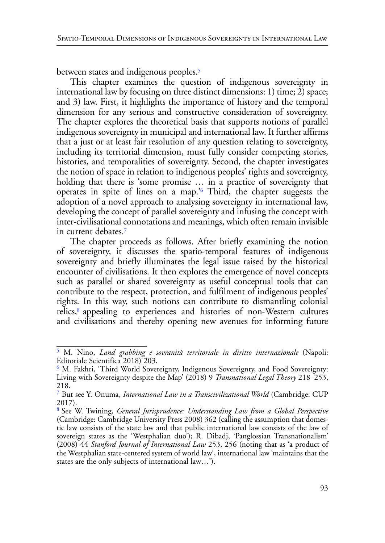<span id="page-2-4"></span>between states and indigenous peoples.<sup>[5](#page-2-0)</sup>

This chapter examines the question of indigenous sovereignty in international law by focusing on three distinct dimensions: 1) time;  $\tilde{2}$ ) space; and 3) law. First, it highlights the importance of history and the temporal dimension for any serious and constructive consideration of sovereignty. The chapter explores the theoretical basis that supports notions of parallel indigenous sovereignty in municipal and international law. It further affirms that a just or at least fair resolution of any question relating to sovereignty, including its territorial dimension, must fully consider competing stories, histories, and temporalities of sovereignty. Second, the chapter investigates the notion of space in relation to indigenous peoples' rights and sovereignty, holding that there is 'some promise ... in a practice of sovereignty that operates in spite of lines on a map.'[6](#page-2-1) Third, the chapter suggests the adoption of a novel approach to analysing sovereignty in international law, developing the concept of parallel sovereignty and infusing the concept with inter-civilisational connotations and meanings, which often remain invisible in current debates[.7](#page-2-2)

<span id="page-2-6"></span><span id="page-2-5"></span>The chapter proceeds as follows. After briefly examining the notion of sovereignty, it discusses the spatio-temporal features of indigenous sovereignty and briefly illuminates the legal issue raised by the historical encounter of civilisations. It then explores the emergence of novel concepts such as parallel or shared sovereignty as useful conceptual tools that can contribute to the respect, protection, and fulfilment of indigenous peoples' rights. In this way, such notions can contribute to dismantling colonial relics,<sup>8</sup> appealing to experiences and histories of non-Western cultures and civilisations and thereby opening new avenues for informing future

<span id="page-2-7"></span><span id="page-2-0"></span>[<sup>5</sup>](#page-2-4) M. Nino, *Land grabbing e sovranità territoriale in diritto internazionale* (Napoli: Editoriale Scientifica 2018) 203.

<span id="page-2-1"></span>[<sup>6</sup>](#page-2-5) M. Fakhri, 'Third World Sovereignty, Indigenous Sovereignty, and Food Sovereignty: Living with Sovereignty despite the Map' (2018) 9 *Transnational Legal Theory* 218–253, 218.

<span id="page-2-2"></span>[<sup>7</sup>](#page-2-6) But see Y. Onuma, *International Law in a Transcivilizational World* (Cambridge: CUP 2017).

<span id="page-2-3"></span>[<sup>8</sup>](#page-2-7) See W. Twining, *General Jurisprudence: Understanding Law from a Global Perspective* (Cambridge: Cambridge University Press 2008) 362 (calling the assumption that domestic law consists of the state law and that public international law consists of the law of sovereign states as the 'Westphalian duo'); R. Dibadj, 'Panglossian Transnationalism' (2008) 44 *Stanford Journal of International Law* 253, 256 (noting that as 'a product of the Westphalian state-centered system of world law', international law 'maintains that the states are the only subjects of international law…').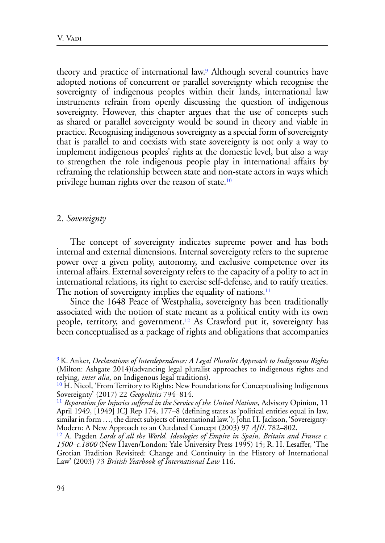<span id="page-3-4"></span>theory and practice of international law[.9](#page-3-0) Although several countries have adopted notions of concurrent or parallel sovereignty which recognise the sovereignty of indigenous peoples within their lands, international law instruments refrain from openly discussing the question of indigenous sovereignty. However, this chapter argues that the use of concepts such as shared or parallel sovereignty would be sound in theory and viable in practice. Recognising indigenous sovereignty as a special form of sovereignty that is parallel to and coexists with state sovereignty is not only a way to implement indigenous peoples' rights at the domestic level, but also a way to strengthen the role indigenous people play in international affairs by reframing the relationship between state and non-state actors in ways which privilege human rights over the reason of state[.10](#page-3-1)

#### <span id="page-3-5"></span>2. *Sovereignty*

The concept of sovereignty indicates supreme power and has both internal and external dimensions. Internal sovereignty refers to the supreme power over a given polity, autonomy, and exclusive competence over its internal affairs. External sovereignty refers to the capacity of a polity to act in international relations, its right to exercise self-defense, and to ratify treaties. The notion of sovereignty implies the equality of nations. $<sup>11</sup>$ </sup>

<span id="page-3-7"></span><span id="page-3-6"></span>Since the 1648 Peace of Westphalia, sovereignty has been traditionally associated with the notion of state meant as a political entity with its own people, territory, and government[.12](#page-3-3) As Crawford put it, sovereignty has been conceptualised as a package of rights and obligations that accompanies

<span id="page-3-0"></span>[<sup>9</sup>](#page-3-4) K. Anker, *Declarations of Interdependence: A Legal Pluralist Approach to Indigenous Rights* (Milton: Ashgate 2014)(advancing legal pluralist approaches to indigenous rights and relying, *inter alia*, on Indigenous legal traditions).

<span id="page-3-1"></span> $^{10}$  H. Nicol, 'From Territory to Rights: New Foundations for Conceptualising Indigenous Sovereignty' (2017) 22 *Geopolitics* 794–814.

<span id="page-3-2"></span><sup>&</sup>lt;sup>[11](#page-3-6)</sup> Reparation for Injuries suffered in the Service of the United Nations, Advisory Opinion, 11 April 1949, [1949] ICJ Rep 174, 177–8 (defining states as 'political entities equal in law, similar in form …, the direct subjects of international law.'); John H. Jackson, 'Sovereignty-Modern: A New Approach to an Outdated Concept (2003) 97 *AJIL* 782–802.<br><sup>12</sup> A. Pagden *Lords of all the World. Ideologies of Empire in Spain, Britain and France c.* 

<span id="page-3-3"></span>*<sup>1500–</sup>c.1800* (New Haven/London: Yale University Press 1995) 15; R. H. Lesaffer, 'The Grotian Tradition Revisited: Change and Continuity in the History of International Law' (2003) 73 *British Yearbook of International Law* 116.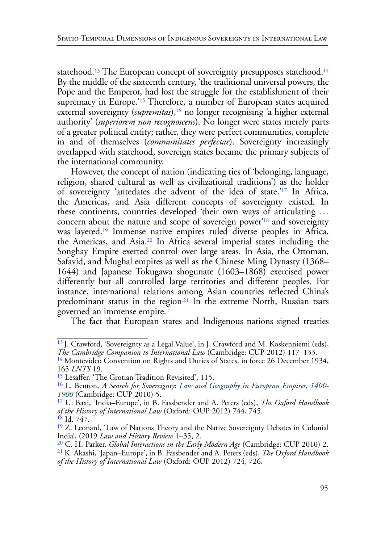<span id="page-4-12"></span><span id="page-4-11"></span><span id="page-4-10"></span><span id="page-4-9"></span>statehood.<sup>13</sup> The European concept of sovereignty presupposes statehood.<sup>[14](#page-4-1)</sup> By the middle of the sixteenth century, 'the traditional universal powers, the Pope and the Emperor, had lost the struggle for the establishment of their supremacy in Europe.<sup>'15</sup> Therefore, a number of European states acquired external sovereignty (*supremitas*),<sup>16</sup> no longer recognising 'a higher external authority' (*superiorem non recognoscens*). No longer were states merely parts of a greater political entity; rather, they were perfect communities, complete in and of themselves (*communitates perfectae*). Sovereignty increasingly overlapped with statehood, sovereign states became the primary subjects of the international community.

<span id="page-4-16"></span><span id="page-4-15"></span><span id="page-4-14"></span><span id="page-4-13"></span>However, the concept of nation (indicating ties of 'belonging, language, religion, shared cultural as well as civilizational traditions') as the holder of sovereignty 'antedates the advent of the idea of state.['17](#page-4-4) In Africa, the Americas, and Asia different concepts of sovereignty existed. In these continents, countries developed 'their own ways of articulating … concern about the nature and scope of sovereign power'[18](#page-4-5) and sovereignty was layered[.19](#page-4-6) Immense native empires ruled diverse peoples in Africa, the Americas, and Asia[.20](#page-4-7) In Africa several imperial states including the Songhay Empire exerted control over large areas. In Asia, the Ottoman, Safavid, and Mughal empires as well as the Chinese Ming Dynasty (1368– 1644) and Japanese Tokugawa shogunate (1603–1868) exercised power differently but all controlled large territories and different peoples. For instance, international relations among Asian countries reflected China's predominant status in the region<sup>21</sup> In the extreme North, Russian tsars governed an immense empire.

<span id="page-4-17"></span>The fact that European states and Indigenous nations signed treaties

<span id="page-4-0"></span><sup>&</sup>lt;sup>13</sup> J. Crawford, 'Sovereignty as a Legal Value', in J. Crawford and M. Koskenniemi (eds),

<span id="page-4-1"></span>*The Cambridge Companion to International Law* (Cambridge: CUP 2012) 117–133.<br><sup>14</sup> Montevideo Convention on Rights and Duties of States, in force 26 December 1934, 165 *LNTS* 19.

<span id="page-4-2"></span><sup>&</sup>lt;sup>15</sup> Lesaffer, 'The Grotian Tradition Revisited', 115.

<span id="page-4-3"></span>[<sup>16</sup>](#page-4-12) L. Benton, *A Search for Sovereignty*: *Law and Geography in European Empires, 1400- 1900* (Cambridge: CUP 2010) 5.

<span id="page-4-4"></span>[<sup>17</sup>](#page-4-13) U. Baxi, 'India–Europe', in B. Fassbender and A. Peters (eds), *The Oxford Handbook of the History of International Law* (Oxford: OUP 2012) 744, 745. <sup>18</sup> Id. 747.

<span id="page-4-6"></span><span id="page-4-5"></span>[<sup>19</sup>](#page-4-15) Z. Leonard, 'Law of Nations Theory and the Native Sovereignty Debates in Colonial India', (2019 *Law and History Review* 1–35, 2.

<span id="page-4-7"></span><sup>20</sup> C. H. Parker, *Global Interactions in the Early Modern Age* (Cambridge: CUP 2010) 2. [21](#page-4-17) K. Akashi, 'Japan–Europe', in B. Fassbender and A. Peters (eds), *The Oxford Handbook* 

<span id="page-4-8"></span>*of the History of International Law* (Oxford: OUP 2012) 724, 726.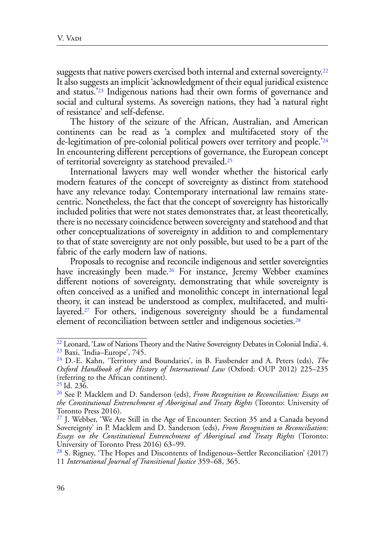<span id="page-5-8"></span><span id="page-5-7"></span>suggests that native powers exercised both internal and external sovereignty.<sup>22</sup> It also suggests an implicit 'acknowledgment of their equal juridical existence and status.'[23](#page-5-1) Indigenous nations had their own forms of governance and social and cultural systems. As sovereign nations, they had 'a natural right of resistance' and self-defense.

<span id="page-5-9"></span>The history of the seizure of the African, Australian, and American continents can be read as 'a complex and multifaceted story of the de-legitimation of pre-colonial political powers over territory and people.['24](#page-5-2) In encountering different perceptions of governance, the European concept of territorial sovereignty as statehood prevailed[.25](#page-5-3)

<span id="page-5-10"></span>International lawyers may well wonder whether the historical early modern features of the concept of sovereignty as distinct from statehood have any relevance today. Contemporary international law remains statecentric. Nonetheless, the fact that the concept of sovereignty has historically included polities that were not states demonstrates that, at least theoretically, there is no necessary coincidence between sovereignty and statehood and that other conceptualizations of sovereignty in addition to and complementary to that of state sovereignty are not only possible, but used to be a part of the fabric of the early modern law of nations.

<span id="page-5-11"></span>Proposals to recognise and reconcile indigenous and settler sovereignties have increasingly been made.<sup>26</sup> For instance, Jeremy Webber examines different notions of sovereignty, demonstrating that while sovereignty is often conceived as a unified and monolithic concept in international legal theory, it can instead be understood as complex, multifaceted, and multilayered.<sup>27</sup> For others, indigenous sovereignty should be a fundamental element of reconciliation between settler and indigenous societies.[28](#page-5-6)

<span id="page-5-13"></span><span id="page-5-12"></span><span id="page-5-1"></span><span id="page-5-0"></span><sup>&</sup>lt;sup>22</sup> Leonard, 'Law of Nations Theory and the Native Sovereignty Debates in Colonial India', 4. [23](#page-5-8) Baxi, 'India–Europe', 745.

<span id="page-5-2"></span>[<sup>24</sup>](#page-5-9) D.-E. Kahn, 'Territory and Boundaries', in B. Fassbender and A. Peters (eds), *The Oxford Handbook of the History of International Law* (Oxford: OUP 2012) 225–235 (referring to the African continent).

<span id="page-5-3"></span>[<sup>25</sup> I](#page-5-10)d. 236.

<span id="page-5-4"></span>[<sup>26</sup>](#page-5-11) See P. Macklem and D. Sanderson (eds), *From Recognition to Reconciliation: Essays on the Constitutional Entrenchment of Aboriginal and Treaty Rights* (Toronto: University of Toronto Press 2016).

<span id="page-5-5"></span><sup>&</sup>lt;sup>27</sup> J. Webber, 'We Are Still in the Age of Encounter: Section 35 and a Canada beyond Sovereignty' in P. Macklem and D. Sanderson (eds), *From Recognition to Reconciliation: Essays on the Constitutional Entrenchment of Aboriginal and Treaty Rights* (Toronto: University of Toronto Press 2016) 63–99.

<span id="page-5-6"></span>[<sup>28</sup>](#page-5-13) S. Rigney, 'The Hopes and Discontents of Indigenous–Settler Reconciliation' (2017) 11 *International Journal of Transitional Justice* 359–68, 365.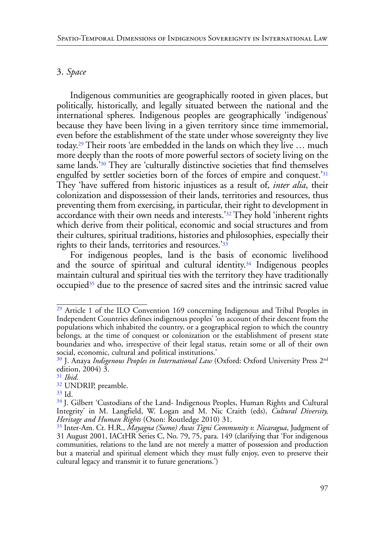#### 3. *Space*

<span id="page-6-9"></span><span id="page-6-8"></span><span id="page-6-7"></span>Indigenous communities are geographically rooted in given places, but politically, historically, and legally situated between the national and the international spheres. Indigenous peoples are geographically 'indigenous' because they have been living in a given territory since time immemorial, even before the establishment of the state under whose sovereignty they live today.[29](#page-6-0) Their roots 'are embedded in the lands on which they live … much more deeply than the roots of more powerful sectors of society living on the same lands.<sup>'30</sup> They are 'culturally distinctive societies that find themselves engulfed by settler societies born of the forces of empire and conquest.['31](#page-6-2) They 'have suffered from historic injustices as a result of, *inter alia*, their colonization and dispossession of their lands, territories and resources, thus preventing them from exercising, in particular, their right to development in accordance with their own needs and interests.['32](#page-6-3) They hold 'inherent rights which derive from their political, economic and social structures and from their cultures, spiritual traditions, histories and philosophies, especially their rights to their lands, territories and resources.'[33](#page-6-4)

<span id="page-6-12"></span><span id="page-6-11"></span><span id="page-6-10"></span>For indigenous peoples, land is the basis of economic livelihood and the source of spiritual and cultural identity.[34](#page-6-5) Indigenous peoples maintain cultural and spiritual ties with the territory they have traditionally occupied<sup>[35](#page-6-6)</sup> due to the presence of sacred sites and the intrinsic sacred value

<span id="page-6-13"></span><span id="page-6-0"></span><sup>&</sup>lt;sup>29</sup> Article 1 of the ILO Convention 169 concerning Indigenous and Tribal Peoples in Independent Countries defines indigenous peoples' 'on account of their descent from the populations which inhabited the country, or a geographical region to which the country belongs, at the time of conquest or colonization or the establishment of present state boundaries and who, irrespective of their legal status, retain some or all of their own social, economic, cultural and political institutions.'

<span id="page-6-1"></span>[<sup>30</sup>](#page-6-8) J. Anaya *Indigenous Peoples in International Law* (Oxford: Oxford University Press 2nd edition, 2004)  $3.31$  *Ibid.* 

<span id="page-6-2"></span>

<span id="page-6-3"></span><sup>&</sup>lt;sup>32</sup> UNDRIP, preamble.

<span id="page-6-4"></span>[<sup>33</sup>](#page-6-11) Id.

<span id="page-6-5"></span><sup>&</sup>lt;sup>34</sup> J. Gilbert 'Custodians of the Land- Indigenous Peoples, Human Rights and Cultural Integrity' in M. Langfield, W. Logan and M. Nic Craith (eds), *Cultural Diversity, Heritage and Human Rights* (Oxon: Routledge 2010) 31.

<span id="page-6-6"></span>[<sup>35</sup>](#page-6-13) Inter-Am. Ct. H.R., *Mayagna (Sumo) Awas Tigni Community v. Nicaragua*, Judgment of 31 August 2001, IACtHR Series C, No. 79, 75, para. 149 (clarifying that 'For indigenous communities, relations to the land are not merely a matter of possession and production but a material and spiritual element which they must fully enjoy, even to preserve their cultural legacy and transmit it to future generations.')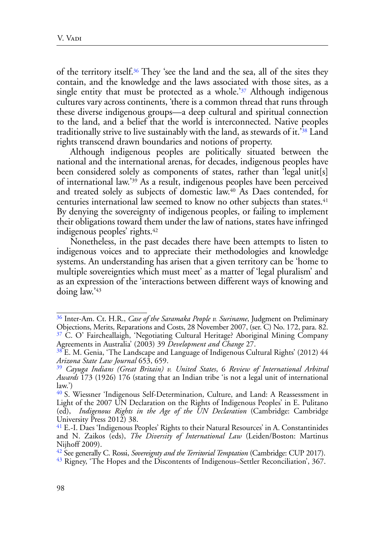<span id="page-7-9"></span><span id="page-7-8"></span>of the territory itself.[36](#page-7-0) They 'see the land and the sea, all of the sites they contain, and the knowledge and the laws associated with those sites, as a single entity that must be protected as a whole.<sup>[37](#page-7-1)</sup> Although indigenous cultures vary across continents, 'there is a common thread that runs through these diverse indigenous groups—a deep cultural and spiritual connection to the land, and a belief that the world is interconnected. Native peoples traditionally strive to live sustainably with the land, as stewards of it.['38](#page-7-2) Land rights transcend drawn boundaries and notions of property.

<span id="page-7-12"></span><span id="page-7-11"></span><span id="page-7-10"></span>Although indigenous peoples are politically situated between the national and the international arenas, for decades, indigenous peoples have been considered solely as components of states, rather than 'legal unit[s] of international law.['39](#page-7-3) As a result, indigenous peoples have been perceived and treated solely as subjects of domestic law[.40](#page-7-4) As Daes contended, for centuries international law seemed to know no other subjects than states[.41](#page-7-5) By denying the sovereignty of indigenous peoples, or failing to implement their obligations toward them under the law of nations, states have infringed indigenous peoples' rights[.42](#page-7-6)

<span id="page-7-14"></span><span id="page-7-13"></span>Nonetheless, in the past decades there have been attempts to listen to indigenous voices and to appreciate their methodologies and knowledge systems. An understanding has arisen that a given territory can be 'home to multiple sovereignties which must meet' as a matter of 'legal pluralism' and as an expression of the 'interactions between different ways of knowing and doing law.['43](#page-7-7)

<span id="page-7-15"></span><span id="page-7-1"></span><span id="page-7-0"></span>[<sup>36</sup>](#page-7-8) Inter-Am. Ct. H.R., *Case of the Saramaka People v. Suriname*, Judgment on Preliminary Objections, Merits, Reparations and Costs, 28 November 2007, (ser. C) No. 172, para. 82. [37](#page-7-9) C. O' Faircheallaigh, 'Negotiating Cultural Heritage? Aboriginal Mining Company Agreements in Australia' (2003) 39 *Development and Change* 27.

<span id="page-7-2"></span><sup>&</sup>lt;sup>38</sup> E. M. Genia, 'The Landscape and Language of Indigenous Cultural Rights' (2012) 44 *Arizona State Law Journal* 653, 659.

<span id="page-7-3"></span>[<sup>39</sup>](#page-7-11) *Cayuga Indians (Great Britain) v. United States*, 6 *Review of International Arbitral Awards* 173 (1926) 176 (stating that an Indian tribe 'is not a legal unit of international  $law.'$ 

<span id="page-7-4"></span>[<sup>40</sup>](#page-7-12) S. Wiessner 'Indigenous Self-Determination, Culture, and Land: A Reassessment in Light of the 2007 UN Declaration on the Rights of Indigenous Peoples' in E. Pulitano (ed), *Indigenous Rights in the Age of the UN Declaration* (Cambridge: Cambridge University Press 2012) 38.

<span id="page-7-5"></span>[<sup>41</sup>](#page-7-13) E.-I. Daes 'Indigenous Peoples' Rights to their Natural Resources' in A. Constantinides and N. Zaikos (eds), *The Diversity of International Law* (Leiden/Boston: Martinus Nijhoff 2009).

<span id="page-7-6"></span>[<sup>42</sup>](#page-7-14) See generally C. Rossi, *Sovereignty and the Territorial Temptation* (Cambridge: CUP 2017). [43](#page-7-15) Rigney, 'The Hopes and the Discontents of Indigenous–Settler Reconciliation', 367.

<span id="page-7-7"></span>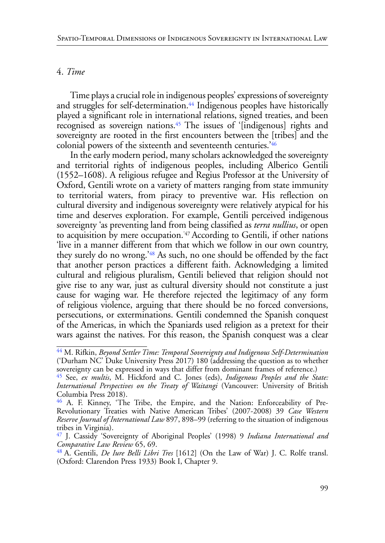## 4. *Time*

<span id="page-8-6"></span><span id="page-8-5"></span>Time plays a crucial role in indigenous peoples' expressions of sovereignty and struggles for self-determination.<sup>44</sup> Indigenous peoples have historically played a significant role in international relations, signed treaties, and been recognised as sovereign nations.[45](#page-8-1) The issues of '[indigenous] rights and sovereignty are rooted in the first encounters between the [tribes] and the colonial powers of the sixteenth and seventeenth centuries.['46](#page-8-2)

<span id="page-8-8"></span><span id="page-8-7"></span>In the early modern period, many scholars acknowledged the sovereignty and territorial rights of indigenous peoples, including Alberico Gentili (1552–1608). A religious refugee and Regius Professor at the University of Oxford, Gentili wrote on a variety of matters ranging from state immunity to territorial waters, from piracy to preventive war. His reflection on cultural diversity and indigenous sovereignty were relatively atypical for his time and deserves exploration. For example, Gentili perceived indigenous sovereignty 'as preventing land from being classified as *terra nullius*, or open to acquisition by mere occupation.['47](#page-8-3) According to Gentili, if other nations 'live in a manner different from that which we follow in our own country, they surely do no wrong.['48](#page-8-4) As such, no one should be offended by the fact that another person practices a different faith. Acknowledging a limited cultural and religious pluralism, Gentili believed that religion should not give rise to any war, just as cultural diversity should not constitute a just cause for waging war. He therefore rejected the legitimacy of any form of religious violence, arguing that there should be no forced conversions, persecutions, or exterminations. Gentili condemned the Spanish conquest of the Americas, in which the Spaniards used religion as a pretext for their wars against the natives. For this reason, the Spanish conquest was a clear

<span id="page-8-9"></span><span id="page-8-0"></span>[<sup>44</sup>](#page-8-5) M. Rifkin, *Beyond Settler Time: Temporal Sovereignty and Indigenous Self-Determination* ('Durham NC' Duke University Press 2017) 180 (addressing the question as to whether sovereignty can be expressed in ways that differ from dominant frames of reference.)

<span id="page-8-1"></span>[<sup>45</sup>](#page-8-6) See, *ex multis*, M. Hickford and C. Jones (eds), *Indigenous Peoples and the State: International Perspectives on the Treaty of Waitangi* (Vancouver: University of British Columbia Press 2018).

<span id="page-8-2"></span>[<sup>46</sup>](#page-8-7) A. F. Kinney, 'The Tribe, the Empire, and the Nation: Enforceability of Pre-Revolutionary Treaties with Native American Tribes' (2007-2008) 39 *Case Western Reserve Journal of International Law* 897, 898–99 (referring to the situation of indigenous tribes in Virginia).

<span id="page-8-3"></span>[<sup>47</sup>](#page-8-8) J. Cassidy 'Sovereignty of Aboriginal Peoples' (1998) 9 *Indiana International and Comparative Law Review* 65, 69.

<span id="page-8-4"></span>[<sup>48</sup>](#page-8-9) A. Gentili, *De Iure Belli Libri Tres* [1612] (On the Law of War) J. C. Rolfe transl. (Oxford: Clarendon Press 1933) Book I, Chapter 9.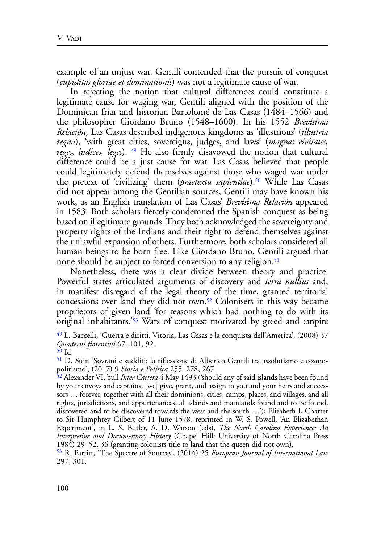example of an unjust war. Gentili contended that the pursuit of conquest (*cupiditas gloriae et dominationis*) was not a legitimate cause of war.

<span id="page-9-6"></span><span id="page-9-5"></span>In rejecting the notion that cultural differences could constitute a legitimate cause for waging war, Gentili aligned with the position of the Dominican friar and historian Bartolomé de Las Casas (1484–1566) and the philosopher Giordano Bruno (1548–1600). In his 1552 *Brevísima Relación*, Las Casas described indigenous kingdoms as 'illustrious' (*illustria regna*), 'with great cities, sovereigns, judges, and laws' (*magnas civitates, reges, iudices, leges*). [49](#page-9-0) He also firmly disavowed the notion that cultural difference could be a just cause for war. Las Casas believed that people could legitimately defend themselves against those who waged war under the pretext of 'civilizing' them (*praetextu sapientiae*)[.50](#page-9-1) While Las Casas did not appear among the Gentilian sources, Gentili may have known his work, as an English translation of Las Casas' *Brevísima Relación* appeared in 1583. Both scholars fiercely condemned the Spanish conquest as being based on illegitimate grounds. They both acknowledged the sovereignty and property rights of the Indians and their right to defend themselves against the unlawful expansion of others. Furthermore, both scholars considered all human beings to be born free. Like Giordano Bruno, Gentili argued that none should be subject to forced conversion to any religion.<sup>51</sup>

<span id="page-9-8"></span><span id="page-9-7"></span>Nonetheless, there was a clear divide between theory and practice. Powerful states articulated arguments of discovery and *terra nullius* and, in manifest disregard of the legal theory of the time, granted territorial concessions over land they did not own.[52](#page-9-3) Colonisers in this way became proprietors of given land 'for reasons which had nothing to do with its original inhabitants.['53](#page-9-4) Wars of conquest motivated by greed and empire

<span id="page-9-9"></span><span id="page-9-0"></span>[<sup>49</sup>](#page-9-5) L. Baccelli, 'Guerra e diritti. Vitoria, Las Casas e la conquista dell'America', (2008) 37 *Quaderni fiorentini* 67–101, 92.

<span id="page-9-1"></span>[<sup>50</sup>](#page-9-6) Id.

<span id="page-9-2"></span>[<sup>51</sup>](#page-9-7) D. Suin 'Sovrani e sudditi: la riflessione di Alberico Gentili tra assolutismo e cosmopolitismo', (2017) 9 *Storia e Politica* 255–278, 267.

<span id="page-9-3"></span>[<sup>52</sup>](#page-9-8) Alexander VI, bull *Inter Caetera* 4 May 1493 ('should any of said islands have been found by your envoys and captains, [we] give, grant, and assign to you and your heirs and successors … forever, together with all their dominions, cities, camps, places, and villages, and all rights, jurisdictions, and appurtenances, all islands and mainlands found and to be found, discovered and to be discovered towards the west and the south …'); Elizabeth I, Charter to Sir Humphrey Gilbert of 11 June 1578, reprinted in W. S. Powell, 'An Elizabethan Experiment', in L. S. Butler, A. D. Watson (eds), *The North Carolina Experience: An Interpretive and Documentary History* (Chapel Hill: University of North Carolina Press 1984) 29–52, 36 (granting colonists title to land that the queen did not own).

<span id="page-9-4"></span>[<sup>53</sup>](#page-9-9) R. Parfitt, 'The Spectre of Sources', (2014) 25 *European Journal of International Law* 297, 301.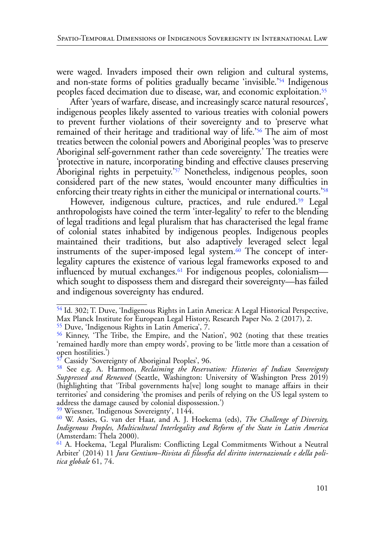<span id="page-10-8"></span>were waged. Invaders imposed their own religion and cultural systems, and non-state forms of polities gradually became 'invisible.['54](#page-10-0) Indigenous peoples faced decimation due to disease, war, and economic exploitation[.55](#page-10-1)

<span id="page-10-10"></span><span id="page-10-9"></span>After 'years of warfare, disease, and increasingly scarce natural resources', indigenous peoples likely assented to various treaties with colonial powers to prevent further violations of their sovereignty and to 'preserve what remained of their heritage and traditional way of life.['56](#page-10-2) The aim of most treaties between the colonial powers and Aboriginal peoples 'was to preserve Aboriginal self-government rather than cede sovereignty.' The treaties were 'protective in nature, incorporating binding and effective clauses preserving Aboriginal rights in perpetuity.['57](#page-10-3) Nonetheless, indigenous peoples, soon considered part of the new states, 'would encounter many difficulties in enforcing their treaty rights in either the municipal or international courts.['58](#page-10-4)

<span id="page-10-14"></span><span id="page-10-13"></span><span id="page-10-12"></span><span id="page-10-11"></span>However, indigenous culture, practices, and rule endured.<sup>59</sup> Legal anthropologists have coined the term 'inter-legality' to refer to the blending of legal traditions and legal pluralism that has characterised the legal frame of colonial states inhabited by indigenous peoples. Indigenous peoples maintained their traditions, but also adaptively leveraged select legal instruments of the super-imposed legal system.<sup>60</sup> The concept of interlegality captures the existence of various legal frameworks exposed to and influenced by mutual exchanges.<sup>61</sup> For indigenous peoples, colonialism which sought to dispossess them and disregard their sovereignty—has failed and indigenous sovereignty has endured.

<span id="page-10-1"></span>[55](#page-10-9) Duve, 'Indigenous Rights in Latin America', 7.

<span id="page-10-15"></span><span id="page-10-0"></span>[<sup>54</sup>](#page-10-8) Id. 302; T. Duve, 'Indigenous Rights in Latin America: A Legal Historical Perspective, Max Planck Institute for European Legal History, Research Paper No. 2 (2017), 2.

<span id="page-10-2"></span>[<sup>56</sup>](#page-10-10) Kinney, 'The Tribe, the Empire, and the Nation', 902 (noting that these treaties 'remained hardly more than empty words', proving to be 'little more than a cessation of open hostilities.')

<span id="page-10-3"></span>[<sup>57</sup>](#page-10-11) Cassidy 'Sovereignty of Aboriginal Peoples', 96.

<span id="page-10-4"></span>[<sup>58</sup>](#page-10-12) See e.g. A. Harmon, *Reclaiming the Reservation: Histories of Indian Sovereignty Suppressed and Renewed* (Seattle, Washington: University of Washington Press 2019) (highlighting that 'Tribal governments ha[ve] long sought to manage affairs in their territories' and considering 'the promises and perils of relying on the US legal system to address the damage caused by colonial dispossession.')

<span id="page-10-5"></span>[<sup>59</sup>](#page-10-13) Wiessner, 'Indigenous Sovereignty', 1144.

<span id="page-10-6"></span>[<sup>60</sup>](#page-10-14) W. Assies, G. van der Haar, and A. J. Hoekema (eds), *The Challenge of Diversity, Indigenous Peoples, Multicultural Interlegality and Reform of the State in Latin America* (Amsterdam: Thela 2000).

<span id="page-10-7"></span>[<sup>61</sup>](#page-10-15) A. Hoekema, 'Legal Pluralism: Conflicting Legal Commitments Without a Neutral Arbiter' (2014) 11 *Jura Gentium*–*Rivista di filosofia del diritto internazionale e della politica globale* 61, 74.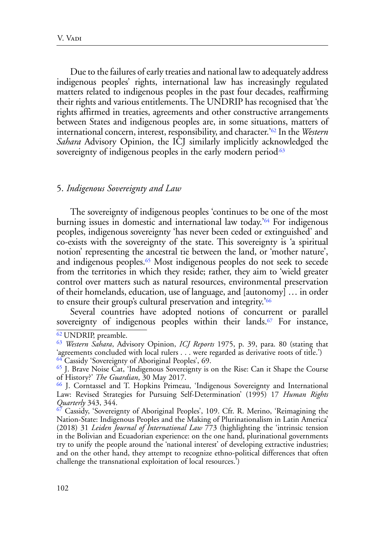<span id="page-11-6"></span>Due to the failures of early treaties and national law to adequately address indigenous peoples' rights, international law has increasingly regulated matters related to indigenous peoples in the past four decades, reaffirming their rights and various entitlements. The UNDRIP has recognised that 'the rights affirmed in treaties, agreements and other constructive arrangements between States and indigenous peoples are, in some situations, matters of international concern, interest, responsibility, and character.['62](#page-11-0) In the *Western Sahara* Advisory Opinion, the ICJ similarly implicitly acknowledged the sovereignty of indigenous peoples in the early modern period.<sup>63</sup>

#### <span id="page-11-7"></span>5. *Indigenous Sovereignty and Law*

<span id="page-11-9"></span><span id="page-11-8"></span>The sovereignty of indigenous peoples 'continues to be one of the most burning issues in domestic and international law today.'[64](#page-11-2) For indigenous peoples, indigenous sovereignty 'has never been ceded or extinguished' and co-exists with the sovereignty of the state. This sovereignty is 'a spiritual notion' representing the ancestral tie between the land, or 'mother nature', and indigenous peoples.[65](#page-11-3) Most indigenous peoples do not seek to secede from the territories in which they reside; rather, they aim to 'wield greater control over matters such as natural resources, environmental preservation of their homelands, education, use of language, and [autonomy] … in order to ensure their group's cultural preservation and integrity.<sup>766</sup>

<span id="page-11-11"></span><span id="page-11-10"></span>Several countries have adopted notions of concurrent or parallel sovereignty of indigenous peoples within their lands.<sup>67</sup> For instance,

<span id="page-11-0"></span>[<sup>62</sup> U](#page-11-6)NDRIP, preamble.

<span id="page-11-1"></span>[<sup>63</sup>](#page-11-7) *Western Sahara*, Advisory Opinion, *ICJ Reports* 1975, p. 39, para. 80 (stating that 'agreements concluded with local rulers . . . were regarded as derivative roots of title.') <sup>64</sup> Cassidy 'Sovereignty of Aboriginal Peoples', 69.

<span id="page-11-3"></span><span id="page-11-2"></span>[<sup>65</sup>](#page-11-9) J. Brave Noise Cat, 'Indigenous Sovereignty is on the Rise: Can it Shape the Course of History?' *The Guardian*, 30 May 2017.

<span id="page-11-4"></span>[<sup>66</sup>](#page-11-10) J. Corntassel and T. Hopkins Primeau, 'Indigenous Sovereignty and International Law: Revised Strategies for Pursuing Self-Determination' (1995) 17 *Human Rights Quarterly* 343, 344.

<span id="page-11-5"></span>[<sup>67</sup>](#page-11-11) Cassidy, 'Sovereignty of Aboriginal Peoples', 109. Cfr. R. Merino, 'Reimagining the Nation-State: Indigenous Peoples and the Making of Plurinationalism in Latin America' (2018) 31 *Leiden Journal of International Law* 773 (highlighting the 'intrinsic tension in the Bolivian and Ecuadorian experience: on the one hand, plurinational governments try to unify the people around the 'national interest' of developing extractive industries; and on the other hand, they attempt to recognize ethno-political differences that often challenge the transnational exploitation of local resources.')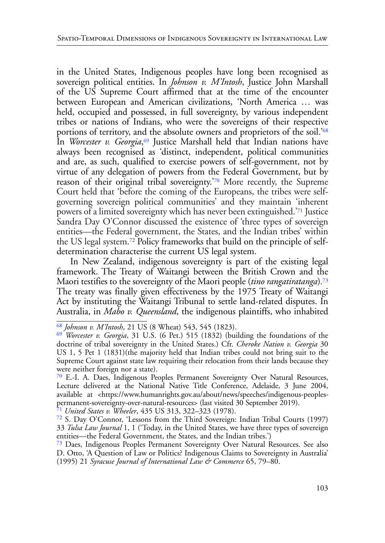<span id="page-12-7"></span><span id="page-12-6"></span>in the United States, Indigenous peoples have long been recognised as sovereign political entities. In *Johnson v. M'Intosh*, Justice John Marshall of the US Supreme Court affirmed that at the time of the encounter between European and American civilizations, 'North America … was held, occupied and possessed, in full sovereignty, by various independent tribes or nations of Indians, who were the sovereigns of their respective portions of territory, and the absolute owners and proprietors of the soil.['68](#page-12-0) In *Worcester v. Georgia*, [69](#page-12-1) Justice Marshall held that Indian nations have always been recognised as 'distinct, independent, political communities and are, as such, qualified to exercise powers of self-government, not by virtue of any delegation of powers from the Federal Government, but by reason of their original tribal sovereignty.['70](#page-12-2) More recently, the Supreme Court held that 'before the coming of the Europeans, the tribes were selfgoverning sovereign political communities' and they maintain 'inherent powers of a limited sovereignty which has never been extinguished.['71](#page-12-3) Justice Sandra Day O'Connor discussed the existence of 'three types of sovereign entities—the Federal government, the States, and the Indian tribes' within the US legal system[.72](#page-12-4) Policy frameworks that build on the principle of selfdetermination characterise the current US legal system.

<span id="page-12-11"></span><span id="page-12-10"></span><span id="page-12-9"></span><span id="page-12-8"></span>In New Zealand, indigenous sovereignty is part of the existing legal framework. The Treaty of Waitangi between the British Crown and the Maori testifies to the sovereignty of the Maori people (*tino rangatiratanga*)*.* [73](#page-12-5)  The treaty was finally given effectiveness by the 1975 Treaty of Waitangi Act by instituting the Waitangi Tribunal to settle land-related disputes. In Australia, in *Mabo v. Queensland*, the indigenous plaintiffs, who inhabited

<span id="page-12-3"></span>[71](#page-12-9) *United States v. Wheeler*, 435 US 313, 322–323 (1978).

<span id="page-12-0"></span>[<sup>68</sup>](#page-12-6) *Johnson v. M'Intosh*, 21 US (8 Wheat) 543, 545 (1823).

<span id="page-12-1"></span>[<sup>69</sup>](#page-12-7) *Worcester v. Georgia*, 31 U.S. (6 Pet.) 515 (1832) (building the foundations of the doctrine of tribal sovereignty in the United States.) Cfr. *Cheroke Nation v. Georgia* 30 US 1, 5 Pet 1 (1831)(the majority held that Indian tribes could not bring suit to the Supreme Court against state law requiring their relocation from their lands because they were neither foreign nor a state).

<span id="page-12-2"></span>[<sup>70</sup>](#page-12-8) E.-I. A. Daes, Indigenous Peoples Permanent Sovereignty Over Natural Resources, Lecture delivered at the National Native Title Conference, Adelaide, 3 June 2004, available at <https://www.humanrights.gov.au/about/news/speeches/indigenous-peoplespermanent-sovereignty-over-natural-resources> (last visited 30 September 2019).

<span id="page-12-4"></span>[<sup>72</sup>](#page-12-10) S. Day O'Connor, 'Lessons from the Third Sovereign: Indian Tribal Courts (1997) 33 *Tulsa Law Journal* 1, 1 ('Today, in the United States, we have three types of sovereign entities—the Federal Government, the States, and the Indian tribes.')

<span id="page-12-5"></span>[<sup>73</sup>](#page-12-11) Daes, Indigenous Peoples Permanent Sovereignty Over Natural Resources. See also D. Otto, 'A Question of Law or Politics? Indigenous Claims to Sovereignty in Australia' (1995) 21 *Syracuse Journal of International Law & Commerce* 65, 79–80.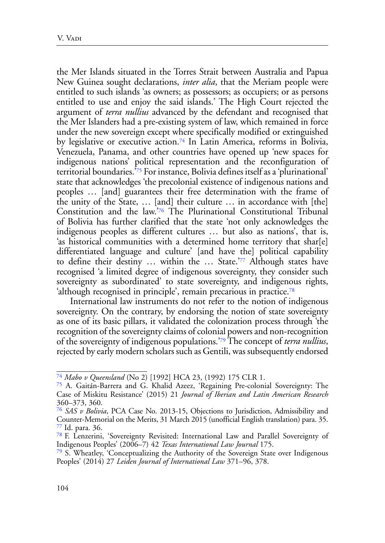<span id="page-13-7"></span><span id="page-13-6"></span>the Mer Islands situated in the Torres Strait between Australia and Papua New Guinea sought declarations, *inter alia*, that the Meriam people were entitled to such islands 'as owners; as possessors; as occupiers; or as persons entitled to use and enjoy the said islands.' The High Court rejected the argument of *terra nullius* advanced by the defendant and recognised that the Mer Islanders had a pre-existing system of law, which remained in force under the new sovereign except where specifically modified or extinguished by legislative or executive action.<sup>[74](#page-13-0)</sup> In Latin America, reforms in Bolivia, Venezuela, Panama, and other countries have opened up 'new spaces for indigenous nations' political representation and the reconfiguration of territorial boundaries.'[75](#page-13-1) For instance, Bolivia defines itself as a 'plurinational' state that acknowledges 'the precolonial existence of indigenous nations and peoples … [and] guarantees their free determination with the frame of the unity of the State, … [and] their culture … in accordance with [the] Constitution and the law.'[76](#page-13-2) The Plurinational Constitutional Tribunal of Bolivia has further clarified that the state 'not only acknowledges the indigenous peoples as different cultures … but also as nations', that is, 'as historical communities with a determined home territory that shar[e] differentiated language and culture' [and have the] political capability to define their destiny … within the … State.['77](#page-13-3) Although states have recognised 'a limited degree of indigenous sovereignty, they consider such sovereignty as subordinated' to state sovereignty, and indigenous rights, 'although recognised in principle', remain precarious in practice[.78](#page-13-4)

<span id="page-13-10"></span><span id="page-13-9"></span><span id="page-13-8"></span>International law instruments do not refer to the notion of indigenous sovereignty. On the contrary, by endorsing the notion of state sovereignty as one of its basic pillars, it validated the colonization process through 'the recognition of the sovereignty claims of colonial powers and non-recognition of the sovereignty of indigenous populations.'[79](#page-13-5) The concept of *terra nullius*, rejected by early modern scholars such as Gentili, was subsequently endorsed

<span id="page-13-11"></span><span id="page-13-0"></span>[<sup>74</sup>](#page-13-6) *Mabo v Queensland* (No 2) [1992] HCA 23, (1992) 175 CLR 1.

<span id="page-13-1"></span>[<sup>75</sup>](#page-13-7) A. Gaitán-Barrera and G. Khalid Azeez, 'Regaining Pre-colonial Sovereignty: The Case of Miskitu Resistance' (2015) 21 *Journal of Iberian and Latin American Research* 360–373, 360.

<span id="page-13-2"></span>[<sup>76</sup>](#page-13-8) *SAS v Bolivia*, PCA Case No. 2013-15, Objections to Jurisdiction, Admissibility and Counter-Memorial on the Merits, 31 March 2015 (unofficial English translation) para. 35. [77](#page-13-9) Id. para. 36.

<span id="page-13-4"></span><span id="page-13-3"></span>[<sup>78</sup> F](#page-13-10). Lenzerini, 'Sovereignty Revisited: International Law and Parallel Sovereignty of Indigenous Peoples' (2006–7) 42 *Texas International Law Journal* 175.

<span id="page-13-5"></span>[<sup>79</sup>](#page-13-11) S. Wheatley, 'Conceptualizing the Authority of the Sovereign State over Indigenous Peoples' (2014) 27 *Leiden Journal of International Law* 371–96, 378.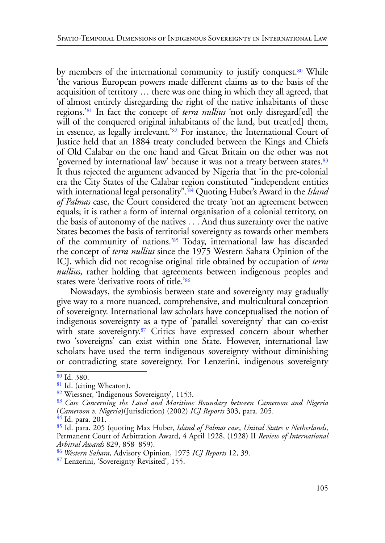<span id="page-14-11"></span><span id="page-14-10"></span><span id="page-14-9"></span><span id="page-14-8"></span>by members of the international community to justify conquest.<sup>80</sup> While 'the various European powers made different claims as to the basis of the acquisition of territory … there was one thing in which they all agreed, that of almost entirely disregarding the right of the native inhabitants of these regions.'[81](#page-14-1) In fact the concept of *terra nullius* 'not only disregard[ed] the will of the conquered original inhabitants of the land, but treat[ed] them, in essence, as legally irrelevant.['82](#page-14-2) For instance, the International Court of Justice held that an 1884 treaty concluded between the Kings and Chiefs of Old Calabar on the one hand and Great Britain on the other was not 'governed by international law' because it was not a treaty between states.<sup>83</sup> It thus rejected the argument advanced by Nigeria that 'in the pre-colonial era the City States of the Calabar region constituted "independent entities with international legal personality"[.'84](#page-14-4) Quoting Huber's Award in the *Island of Palmas* case, the Court considered the treaty 'not an agreement between equals; it is rather a form of internal organisation of a colonial territory, on the basis of autonomy of the natives . . . And thus suzerainty over the native States becomes the basis of territorial sovereignty as towards other members of the community of nations.'[85](#page-14-5) Today, international law has discarded the concept of *terra nullius* since the 1975 Western Sahara Opinion of the ICJ, which did not recognise original title obtained by occupation of *terra nullius*, rather holding that agreements between indigenous peoples and states were 'derivative roots of title.'[86](#page-14-6)

<span id="page-14-15"></span><span id="page-14-14"></span><span id="page-14-13"></span><span id="page-14-12"></span>Nowadays, the symbiosis between state and sovereignty may gradually give way to a more nuanced, comprehensive, and multicultural conception of sovereignty. International law scholars have conceptualised the notion of indigenous sovereignty as a type of 'parallel sovereignty' that can co-exist with state sovereignty[.87](#page-14-7) Critics have expressed concern about whether two 'sovereigns' can exist within one State. However, international law scholars have used the term indigenous sovereignty without diminishing or contradicting state sovereignty. For Lenzerini, indigenous sovereignty

<span id="page-14-0"></span>[<sup>80</sup>](#page-14-8) Id. 380.

<span id="page-14-1"></span><sup>&</sup>lt;sup>81</sup> Id. (citing Wheaton).

<span id="page-14-2"></span>[<sup>82</sup>](#page-14-10) Wiessner, 'Indigenous Sovereignty', 1153.

<span id="page-14-3"></span>[<sup>83</sup>](#page-14-11) *Case Concerning the Land and Maritime Boundary between Cameroon and Nigeria* (*Cameroon v. Nigeria*)(Jurisdiction) (2002) *ICJ Reports* 303, para. 205. [84](#page-14-12) Id. para. 201.

<span id="page-14-4"></span>

<span id="page-14-5"></span>[<sup>85</sup>](#page-14-13) Id. para. 205 (quoting Max Huber, *Island of Palmas case*, *United States v Netherlands*, Permanent Court of Arbitration Award, 4 April 1928, (1928) II *Review of International Arbitral Awards* 829, 858–859).

<span id="page-14-6"></span>[<sup>86</sup>](#page-14-14) *Western Sahara*, Advisory Opinion, 1975 *ICJ Reports* 12, 39.

<span id="page-14-7"></span>[<sup>87</sup>](#page-14-15) Lenzerini, 'Sovereignty Revisited', 155.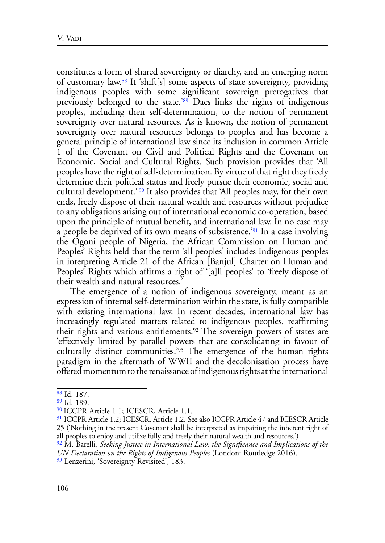<span id="page-15-7"></span><span id="page-15-6"></span>constitutes a form of shared sovereignty or diarchy, and an emerging norm of customary law[.88](#page-15-0) It 'shift[s] some aspects of state sovereignty, providing indigenous peoples with some significant sovereign prerogatives that previously belonged to the state.['89](#page-15-1) Daes links the rights of indigenous peoples, including their self-determination, to the notion of permanent sovereignty over natural resources. As is known, the notion of permanent sovereignty over natural resources belongs to peoples and has become a general principle of international law since its inclusion in common Article 1 of the Covenant on Civil and Political Rights and the Covenant on Economic, Social and Cultural Rights. Such provision provides that 'All peoples have the right of self-determination. By virtue of that right they freely determine their political status and freely pursue their economic, social and cultural development.' [90](#page-15-2) It also provides that 'All peoples may, for their own ends, freely dispose of their natural wealth and resources without prejudice to any obligations arising out of international economic co-operation, based upon the principle of mutual benefit, and international law. In no case may a people be deprived of its own means of subsistence.['91](#page-15-3) In a case involving the Ogoni people of Nigeria, the African Commission on Human and Peoples' Rights held that the term 'all peoples' includes Indigenous peoples in interpreting Article 21 of the African [Banjul] Charter on Human and Peoples' Rights which affirms a right of '[a]ll peoples' to 'freely dispose of their wealth and natural resources.'

<span id="page-15-10"></span><span id="page-15-9"></span><span id="page-15-8"></span>The emergence of a notion of indigenous sovereignty, meant as an expression of internal self-determination within the state, is fully compatible with existing international law. In recent decades, international law has increasingly regulated matters related to indigenous peoples, reaffirming their rights and various entitlements.[92](#page-15-4) The sovereign powers of states are 'effectively limited by parallel powers that are consolidating in favour of culturally distinct communities.['93](#page-15-5) The emergence of the human rights paradigm in the aftermath of WWII and the decolonisation process have offered momentum to the renaissance of indigenous rights at the international

<span id="page-15-11"></span><span id="page-15-0"></span>[<sup>88</sup>](#page-15-6) Id. 187.

<span id="page-15-1"></span>[<sup>89</sup>](#page-15-7) Id. 189.

<span id="page-15-2"></span>[<sup>90</sup> I](#page-15-8)CCPR Article 1.1; ICESCR, Article 1.1.

<span id="page-15-3"></span><sup>&</sup>lt;sup>91</sup> ICCPR Article 1.2; ICESCR, Article 1.2. See also ICCPR Article 47 and ICESCR Article 25 ('Nothing in the present Covenant shall be interpreted as impairing the inherent right of all peoples to enjoy and utilize fully and freely their natural wealth and resources.')

<span id="page-15-4"></span>[<sup>92</sup>](#page-15-10) M. Barelli, *[Seeking Justice in International Law: the Significance and Implications of the](https://onesearch.lancaster-university.uk/primo-explore/fulldisplay?docid=44LAN_ALMA_DS21107966300001221&context=L&vid=LUL_VU1&lang=en_US&search_scope=LSCOP_44LAN_LANUL_LIB&adaptor=Local%20Search%20Engine&tab=books&query=any,contains,indigenous%20sovereignty&offset=10) [UN Declaration on the Rights of Indigenous Peoples](https://onesearch.lancaster-university.uk/primo-explore/fulldisplay?docid=44LAN_ALMA_DS21107966300001221&context=L&vid=LUL_VU1&lang=en_US&search_scope=LSCOP_44LAN_LANUL_LIB&adaptor=Local%20Search%20Engine&tab=books&query=any,contains,indigenous%20sovereignty&offset=10)* (London: Routledge 2016).

<span id="page-15-5"></span><sup>&</sup>lt;sup>93</sup> Lenzerini, 'Sovereignty Revisited', 183.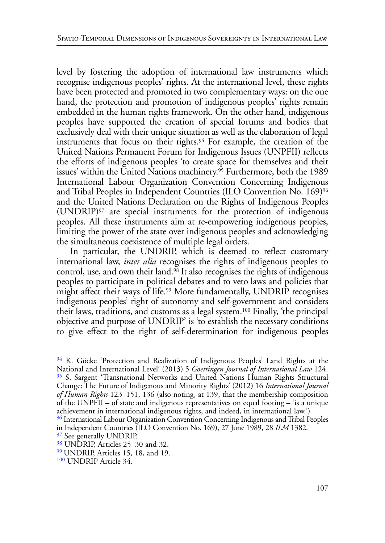<span id="page-16-7"></span>level by fostering the adoption of international law instruments which recognise indigenous peoples' rights. At the international level, these rights have been protected and promoted in two complementary ways: on the one hand, the protection and promotion of indigenous peoples' rights remain embedded in the human rights framework. On the other hand, indigenous peoples have supported the creation of special forums and bodies that exclusively deal with their unique situation as well as the elaboration of legal instruments that focus on their rights.<sup>94</sup> For example, the creation of the United Nations Permanent Forum for Indigenous Issues (UNPFII) reflects the efforts of indigenous peoples 'to create space for themselves and their issues' within the United Nations machinery[.95](#page-16-1) Furthermore, both the 1989 International Labour Organization Convention Concerning Indigenous and Tribal Peoples in Independent Countries (ILO Convention No. 169)<sup>96</sup> and the United Nations Declaration on the Rights of Indigenous Peoples (UNDRIP)[97](#page-16-3) are special instruments for the protection of indigenous peoples. All these instruments aim at re-empowering indigenous peoples, limiting the power of the state over indigenous peoples and acknowledging the simultaneous coexistence of multiple legal orders.

<span id="page-16-12"></span><span id="page-16-11"></span><span id="page-16-10"></span><span id="page-16-9"></span><span id="page-16-8"></span>In particular, the UNDRIP, which is deemed to reflect customary international law, *inter alia* recognises the rights of indigenous peoples to control, use, and own their land.<sup>98</sup> It also recognises the rights of indigenous peoples to participate in political debates and to veto laws and policies that might affect their ways of life.[99](#page-16-5) More fundamentally, UNDRIP recognises indigenous peoples' right of autonomy and self-government and considers their laws, traditions, and customs as a legal system[.100](#page-16-6) Finally, 'the principal objective and purpose of UNDRIP' is 'to establish the necessary conditions to give effect to the right of self-determination for indigenous peoples

<span id="page-16-13"></span><span id="page-16-1"></span><span id="page-16-0"></span><sup>&</sup>lt;sup>94</sup> K. Göcke 'Protection and Realization of Indigenous Peoples' Land Rights at the National and International Level' (2013) 5 *Goettingen Journal of International Law* 124. [95](#page-16-8) S. Sargent 'Transnational Networks and United Nations Human Rights Structural Change: The Future of Indigenous and Minority Rights' (2012) 16 *International Journal of Human Rights* 123–151, 136 (also noting, at 139, that the membership composition of the UNPFII – of state and indigenous representatives on equal footing – 'is a unique achievement in international indigenous rights, and indeed, in international law.')

<span id="page-16-2"></span>[<sup>96</sup>](#page-16-9) International Labour Organization Convention Concerning Indigenous and Tribal Peoples in Independent Countries (ILO Convention No. 169), 27 June 1989, 28 *ILM* 1382.

<span id="page-16-3"></span><sup>&</sup>lt;sup>97</sup> See generally UNDRIP.

<span id="page-16-4"></span>[<sup>98</sup>](#page-16-11) UNDRIP, Articles 25–30 and 32.

<span id="page-16-5"></span>[<sup>99</sup> U](#page-16-12)NDRIP, Articles 15, 18, and 19.

<span id="page-16-6"></span>[<sup>100</sup>](#page-16-13) UNDRIP Article 34.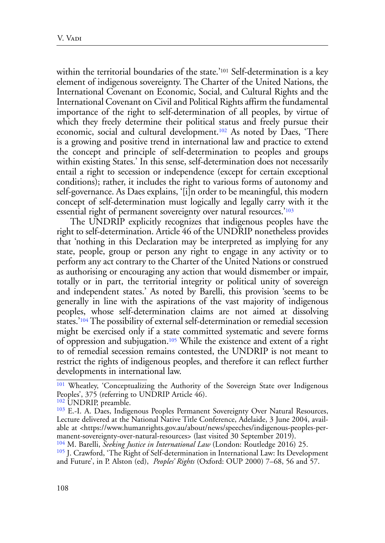<span id="page-17-6"></span><span id="page-17-5"></span>within the territorial boundaries of the state.'<sup>101</sup> Self-determination is a key element of indigenous sovereignty. The Charter of the United Nations, the International Covenant on Economic, Social, and Cultural Rights and the International Covenant on Civil and Political Rights affirm the fundamental importance of the right to self-determination of all peoples, by virtue of which they freely determine their political status and freely pursue their economic, social and cultural development[.102](#page-17-1) As noted by Daes, 'There is a growing and positive trend in international law and practice to extend the concept and principle of self-determination to peoples and groups within existing States.' In this sense, self-determination does not necessarily entail a right to secession or independence (except for certain exceptional conditions); rather, it includes the right to various forms of autonomy and self-governance. As Daes explains, '[i]n order to be meaningful, this modern concept of self-determination must logically and legally carry with it the essential right of permanent sovereignty over natural resources.['103](#page-17-2)

<span id="page-17-7"></span>The UNDRIP explicitly recognizes that indigenous peoples have the right to self-determination. Article 46 of the UNDRIP nonetheless provides that 'nothing in this Declaration may be interpreted as implying for any state, people, group or person any right to engage in any activity or to perform any act contrary to the Charter of the United Nations or construed as authorising or encouraging any action that would dismember or impair, totally or in part, the territorial integrity or political unity of sovereign and independent states.' As noted by Barelli, this provision 'seems to be generally in line with the aspirations of the vast majority of indigenous peoples, whose self-determination claims are not aimed at dissolving states.['104](#page-17-3) The possibility of external self-determination or remedial secession might be exercised only if a state committed systematic and severe forms of oppression and subjugation[.105](#page-17-4) While the existence and extent of a right to of remedial secession remains contested, the UNDRIP is not meant to restrict the rights of indigenous peoples, and therefore it can reflect further developments in international law.

<span id="page-17-9"></span><span id="page-17-8"></span><span id="page-17-0"></span><sup>&</sup>lt;sup>[101](#page-17-5)</sup> Wheatley, 'Conceptualizing the Authority of the Sovereign State over Indigenous Peoples', 375 (referring to UNDRIP Article 46).

<span id="page-17-1"></span>[<sup>102</sup>](#page-17-6) UNDRIP, preamble.

<span id="page-17-2"></span>[<sup>103</sup>](#page-17-7) E.-I. A. Daes, Indigenous Peoples Permanent Sovereignty Over Natural Resources, Lecture delivered at the National Native Title Conference, Adelaide, 3 June 2004, available at <https://www.humanrights.gov.au/about/news/speeches/indigenous-peoples-permanent-sovereignty-over-natural-resources> (last visited 30 September 2019).

<span id="page-17-3"></span>[<sup>104</sup>](#page-17-8) M. Barelli, *Seeking Justice in International Law* (London: Routledge 2016) 25.

<span id="page-17-4"></span><sup>&</sup>lt;sup>[105](#page-17-9)</sup> J. Crawford, 'The Right of Self-determination in International Law: Its Development and Future', in P. Alston (ed), *Peoples' Rights* (Oxford: OUP 2000) 7–68, 56 and 57.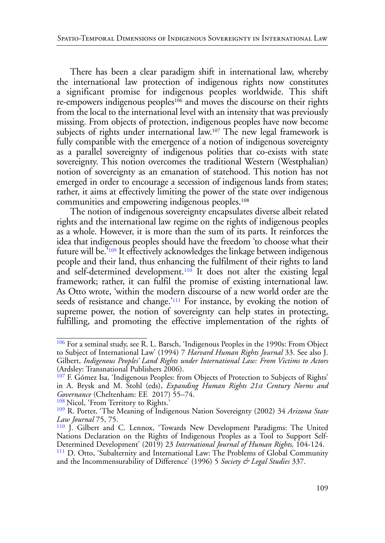<span id="page-18-7"></span><span id="page-18-6"></span>There has been a clear paradigm shift in international law, whereby the international law protection of indigenous rights now constitutes a significant promise for indigenous peoples worldwide. This shift re-empowers indigenous peoples<sup>106</sup> and moves the discourse on their rights from the local to the international level with an intensity that was previously missing. From objects of protection, indigenous peoples have now become subjects of rights under international law.<sup>107</sup> The new legal framework is fully compatible with the emergence of a notion of indigenous sovereignty as a parallel sovereignty of indigenous polities that co-exists with state sovereignty. This notion overcomes the traditional Western (Westphalian) notion of sovereignty as an emanation of statehood. This notion has not emerged in order to encourage a secession of indigenous lands from states; rather, it aims at effectively limiting the power of the state over indigenous communities and empowering indigenous peoples.[108](#page-18-2) 

<span id="page-18-10"></span><span id="page-18-9"></span><span id="page-18-8"></span>The notion of indigenous sovereignty encapsulates diverse albeit related rights and the international law regime on the rights of indigenous peoples as a whole. However, it is more than the sum of its parts. It reinforces the idea that indigenous peoples should have the freedom 'to choose what their future will be.<sup>5109</sup> It effectively acknowledges the linkage between indigenous people and their land, thus enhancing the fulfilment of their rights to land and self-determined development.<sup>110</sup> It does not alter the existing legal framework; rather, it can fulfil the promise of existing international law. As Otto wrote, 'within the modern discourse of a new world order are the seeds of resistance and change.'<sup>111</sup> For instance, by evoking the notion of supreme power, the notion of sovereignty can help states in protecting, fulfilling, and promoting the effective implementation of the rights of

<span id="page-18-2"></span>[108](#page-18-8) Nicol, 'From Territory to Rights.'

<span id="page-18-11"></span><span id="page-18-0"></span>[<sup>106</sup>](#page-18-6) For a seminal study, see R. L. Barsch, 'Indigenous Peoples in the 1990s: From Object to Subject of International Law' (1994) 7 *Harvard Human Rights Journal* 33. See also J. Gilbert, *Indigenous Peoples' Land Rights under International Law: From Victims to Actors* (Ardsley: Transnational Publishers 2006).

<span id="page-18-1"></span><sup>&</sup>lt;sup>[107](#page-18-7)</sup> F. Gómez Isa, 'Indigenous Peoples: from Objects of Protection to Subjects of Rights' in A. Brysk and M. Stohl (eds), *Expanding Human Rights 21st Century Norms and Governance* (Cheltenham: EE 2017) 55–74.

<span id="page-18-3"></span>[<sup>109</sup>](#page-18-9) R. Porter, 'The Meaning of Indigenous Nation Sovereignty (2002) 34 *Arizona State Law Journal* 75, 75.

<span id="page-18-4"></span>[<sup>110</sup>](#page-18-10) J. Gilbert and C. Lennox, 'Towards New Development Paradigms: The United Nations Declaration on the Rights of Indigenous Peoples as a Tool to Support Self-

<span id="page-18-5"></span>Determined Development' (2019) 23 *International Journal of Human Rights,* 104-124. [111](#page-18-11) D. Otto, 'Subalternity and International Law: The Problems of Global Community and the Incommensurability of Difference' (1996) 5 *Society & Legal Studies* 337.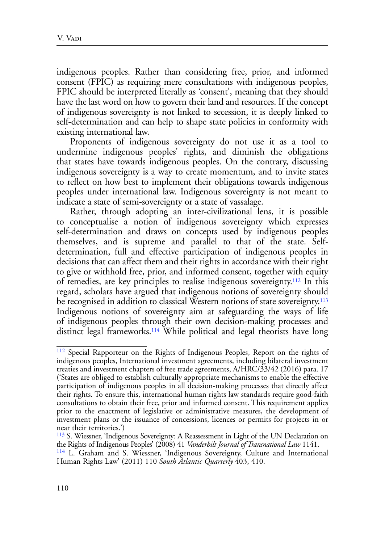indigenous peoples. Rather than considering free, prior, and informed consent (FPIC) as requiring mere consultations with indigenous peoples, FPIC should be interpreted literally as 'consent', meaning that they should have the last word on how to govern their land and resources. If the concept of indigenous sovereignty is not linked to secession, it is deeply linked to self-determination and can help to shape state policies in conformity with existing international law.

Proponents of indigenous sovereignty do not use it as a tool to undermine indigenous peoples' rights, and diminish the obligations that states have towards indigenous peoples. On the contrary, discussing indigenous sovereignty is a way to create momentum, and to invite states to reflect on how best to implement their obligations towards indigenous peoples under international law. Indigenous sovereignty is not meant to indicate a state of semi-sovereignty or a state of vassalage.

<span id="page-19-3"></span>Rather, through adopting an inter-civilizational lens, it is possible to conceptualise a notion of indigenous sovereignty which expresses self-determination and draws on concepts used by indigenous peoples themselves, and is supreme and parallel to that of the state. Selfdetermination, full and effective participation of indigenous peoples in decisions that can affect them and their rights in accordance with their right to give or withhold free, prior, and informed consent, together with equity of remedies, are key principles to realise indigenous sovereignty[.112](#page-19-0) In this regard, scholars have argued that indigenous notions of sovereignty should be recognised in addition to classical Western notions of state sovereignty.<sup>[113](#page-19-1)</sup> Indigenous notions of sovereignty aim at safeguarding the ways of life of indigenous peoples through their own decision-making processes and distinct legal frameworks.<sup>114</sup> While political and legal theorists have long

<span id="page-19-5"></span><span id="page-19-4"></span><span id="page-19-0"></span>[<sup>112</sup>](#page-19-3) Special Rapporteur on the Rights of Indigenous Peoples, Report on the rights of indigenous peoples, International investment agreements, including bilateral investment treaties and investment chapters of free trade agreements, A/HRC/33/42 (2016) para. 17 ('States are obliged to establish culturally appropriate mechanisms to enable the effective participation of indigenous peoples in all decision-making processes that directly affect their rights. To ensure this, international human rights law standards require good-faith consultations to obtain their free, prior and informed consent. This requirement applies prior to the enactment of legislative or administrative measures, the development of investment plans or the issuance of concessions, licences or permits for projects in or near their territories.')

<span id="page-19-1"></span><sup>&</sup>lt;sup>113</sup> S. Wiessner, 'Indigenous Sovereignty: A Reassessment in Light of the UN Declaration on the Rights of Indigenous Peoples' (2008) 41 *Vanderbilt Journal of Transnational Law* 1141.

<span id="page-19-2"></span>[<sup>114</sup>](#page-19-5) L. Graham and S. Wiessner, 'Indigenous Sovereignty, Culture and International Human Rights Law' (2011) 110 *South Atlantic Quarterly* 403, 410.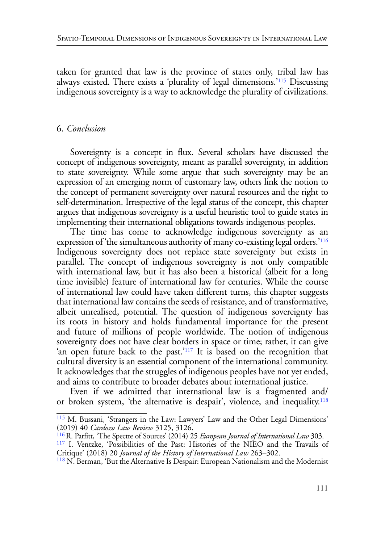<span id="page-20-4"></span>taken for granted that law is the province of states only, tribal law has always existed. There exists a 'plurality of legal dimensions.['115](#page-20-0) Discussing indigenous sovereignty is a way to acknowledge the plurality of civilizations.

### 6. *Conclusion*

Sovereignty is a concept in flux. Several scholars have discussed the concept of indigenous sovereignty, meant as parallel sovereignty, in addition to state sovereignty. While some argue that such sovereignty may be an expression of an emerging norm of customary law, others link the notion to the concept of permanent sovereignty over natural resources and the right to self-determination. Irrespective of the legal status of the concept, this chapter argues that indigenous sovereignty is a useful heuristic tool to guide states in implementing their international obligations towards indigenous peoples.

<span id="page-20-5"></span>The time has come to acknowledge indigenous sovereignty as an expression of 'the simultaneous authority of many co-existing legal orders.'[116](#page-20-1)  Indigenous sovereignty does not replace state sovereignty but exists in parallel. The concept of indigenous sovereignty is not only compatible with international law, but it has also been a historical (albeit for a long time invisible) feature of international law for centuries. While the course of international law could have taken different turns, this chapter suggests that international law contains the seeds of resistance, and of transformative, albeit unrealised, potential. The question of indigenous sovereignty has its roots in history and holds fundamental importance for the present and future of millions of people worldwide. The notion of indigenous sovereignty does not have clear borders in space or time; rather, it can give 'an open future back to the past.['117](#page-20-2) It is based on the recognition that cultural diversity is an essential component of the international community. It acknowledges that the struggles of indigenous peoples have not yet ended, and aims to contribute to broader debates about international justice.

<span id="page-20-7"></span><span id="page-20-6"></span>Even if we admitted that international law is a fragmented and/ or broken system, 'the alternative is despair', violence, and inequality.[118](#page-20-3)

<span id="page-20-0"></span>[<sup>115</sup>](#page-20-4) M. Bussani, 'Strangers in the Law: Lawyers' Law and the Other Legal Dimensions' (2019) 40 *Cardozo Law Review* 3125, 3126.

<span id="page-20-1"></span>[<sup>116</sup> R](#page-20-5). Parfitt, 'The Spectre of Sources' (2014) 25 *European Journal of International Law* 303.

<span id="page-20-2"></span>[<sup>117</sup>](#page-20-6) I. Ventzke, 'Possibilities of the Past: Histories of the NIEO and the Travails of Critique' (2018) 20 *Journal of the History of International Law* 263–302.

<span id="page-20-3"></span>[<sup>118</sup>](#page-20-7) N. Berman, 'But the Alternative Is Despair: European Nationalism and the Modernist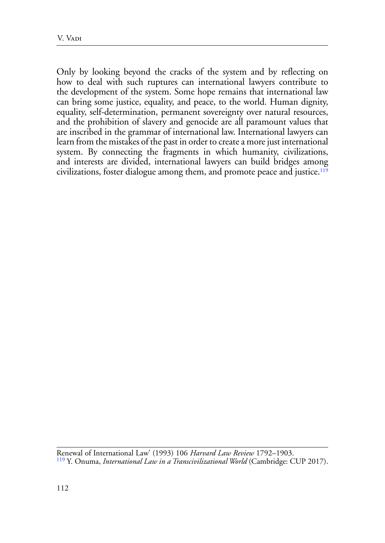<span id="page-21-1"></span>Only by looking beyond the cracks of the system and by reflecting on how to deal with such ruptures can international lawyers contribute to the development of the system. Some hope remains that international law can bring some justice, equality, and peace, to the world. Human dignity, equality, self-determination, permanent sovereignty over natural resources, and the prohibition of slavery and genocide are all paramount values that are inscribed in the grammar of international law. International lawyers can learn from the mistakes of the past in order to create a more just international system. By connecting the fragments in which humanity, civilizations, and interests are divided, international lawyers can build bridges among civilizations, foster dialogue among them, and promote peace and justice.[119](#page-21-0)

<span id="page-21-0"></span>Renewal of International Law' (1993) 106 *Harvard Law Review* 1792–1903. [119](#page-21-1) Y. Onuma, *International Law in a Transcivilizational World* (Cambridge: CUP 2017).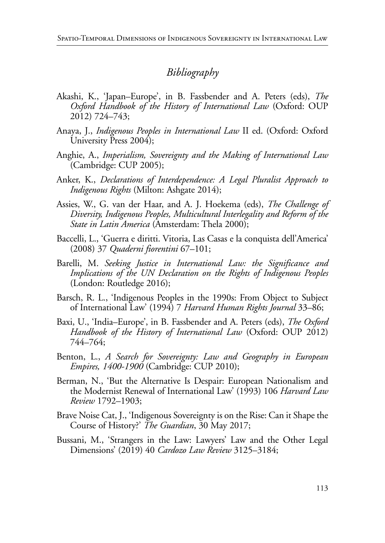# *Bibliography*

- Akashi, K., 'Japan–Europe', in B. Fassbender and A. Peters (eds), *The Oxford Handbook of the History of International Law* (Oxford: OUP 2012) 724–743;
- Anaya, J., *Indigenous Peoples in International Law* II ed. (Oxford: Oxford University Press 2004);
- Anghie, A., *Imperialism, Sovereignty and the Making of International Law* (Cambridge: CUP 2005);
- Anker, K., *Declarations of Interdependence: A Legal Pluralist Approach to Indigenous Rights* (Milton: Ashgate 2014);
- Assies, W., G. van der Haar, and A. J. Hoekema (eds), *The Challenge of Diversity, Indigenous Peoples, Multicultural Interlegality and Reform of the State in Latin America* (Amsterdam: Thela 2000);
- Baccelli, L., 'Guerra e diritti. Vitoria, Las Casas e la conquista dell'America' (2008) 37 *Quaderni fiorentini* 67–101;
- Barelli, M. *Seeking Justice in International Law: the Significance and Implications of the UN Declaration on the Rights of Indigenous Peoples* (London: Routledge 2016);
- Barsch, R. L., 'Indigenous Peoples in the 1990s: From Object to Subject of International Law' (1994) 7 *Harvard Human Rights Journal* 33–86;
- Baxi, U., 'India–Europe', in B. Fassbender and A. Peters (eds), *The Oxford Handbook of the History of International Law* (Oxford: OUP 2012) 744–764;
- Benton, L., *A Search for Sovereignty: Law and Geography in European Empires, 1400-1900* (Cambridge: CUP 2010);
- Berman, N., 'But the Alternative Is Despair: European Nationalism and the Modernist Renewal of International Law' (1993) 106 *Harvard Law Review* 1792–1903;
- Brave Noise Cat, J., 'Indigenous Sovereignty is on the Rise: Can it Shape the Course of History?' *The Guardian*, 30 May 2017;
- Bussani, M., 'Strangers in the Law: Lawyers' Law and the Other Legal Dimensions' (2019) 40 *Cardozo Law Review* 3125–3184;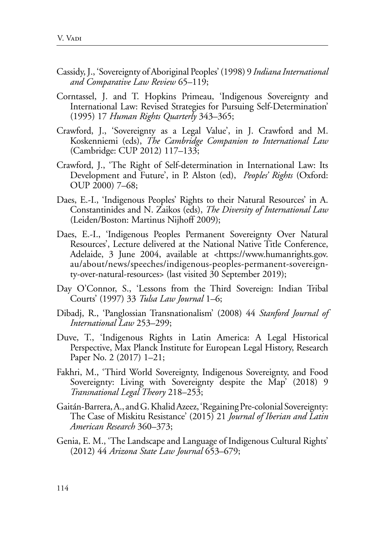- Cassidy, J., 'Sovereignty of Aboriginal Peoples' (1998) 9 *Indiana International and Comparative Law Review* 65–119;
- Corntassel, J. and T. Hopkins Primeau, 'Indigenous Sovereignty and International Law: Revised Strategies for Pursuing Self-Determination' (1995) 17 *Human Rights Quarterly* 343–365;
- Crawford, J., 'Sovereignty as a Legal Value', in J. Crawford and M. Koskenniemi (eds), *The Cambridge Companion to International Law*  (Cambridge: CUP 2012) 117–133;
- Crawford, J., 'The Right of Self-determination in International Law: Its Development and Future', in P. Alston (ed), *Peoples' Rights* (Oxford: OUP 2000) 7–68;
- Daes, E.-I., 'Indigenous Peoples' Rights to their Natural Resources' in A. Constantinides and N. Zaikos (eds), *The Diversity of International Law* (Leiden/Boston: Martinus Nijhoff 2009);
- Daes, E.-I., 'Indigenous Peoples Permanent Sovereignty Over Natural Resources', Lecture delivered at the National Native Title Conference, Adelaide, 3 June 2004, available at <https://www.humanrights.gov. au/about/news/speeches/indigenous-peoples-permanent-sovereignty-over-natural-resources> (last visited 30 September 2019);
- Day O'Connor, S., 'Lessons from the Third Sovereign: Indian Tribal Courts' (1997) 33 *Tulsa Law Journal* 1–6;
- Dibadj, R., 'Panglossian Transnationalism' (2008) 44 *Stanford Journal of International Law* 253–299;
- Duve, T., 'Indigenous Rights in Latin America: A Legal Historical Perspective, Max Planck Institute for European Legal History, Research Paper No. 2 (2017) 1–21;
- Fakhri, M., 'Third World Sovereignty, Indigenous Sovereignty, and Food Sovereignty: Living with Sovereignty despite the Map' (2018) 9 *Transnational Legal Theory* 218–253;
- Gaitán-Barrera, A., and G. Khalid Azeez, 'Regaining Pre-colonial Sovereignty: The Case of Miskitu Resistance' (2015) 21 *Journal of Iberian and Latin American Research* 360–373;
- Genia, E. M., 'The Landscape and Language of Indigenous Cultural Rights' (2012) 44 *Arizona State Law Journal* 653–679;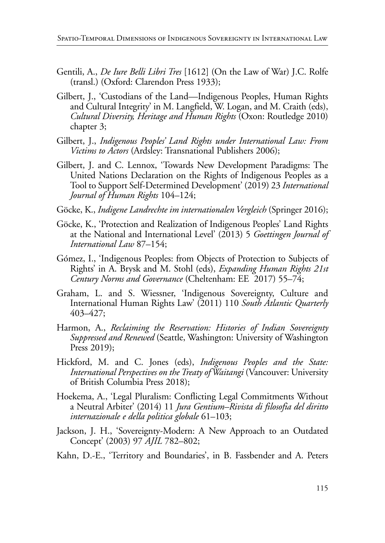- Gentili, A., *De Iure Belli Libri Tres* [1612] (On the Law of War) J.C. Rolfe (transl.) (Oxford: Clarendon Press 1933);
- Gilbert, J., 'Custodians of the Land—Indigenous Peoples, Human Rights and Cultural Integrity' in M. Langfield, W. Logan, and M. Craith (eds), *Cultural Diversity, Heritage and Human Rights* (Oxon: Routledge 2010) chapter 3;
- Gilbert, J., *Indigenous Peoples' Land Rights under International Law: From Victims to Actors* (Ardsley: Transnational Publishers 2006);
- Gilbert, J. and C. Lennox, 'Towards New Development Paradigms: The United Nations Declaration on the Rights of Indigenous Peoples as a Tool to Support Self-Determined Development' (2019) 23 *International Journal of Human Rights* 104–124;
- Göcke, K., *Indigene Landrechte im internationalen Vergleich* (Springer 2016);
- Göcke, K., 'Protection and Realization of Indigenous Peoples' Land Rights at the National and International Level' (2013) 5 *Goettingen Journal of International Law* 87–154;
- Gómez, I., 'Indigenous Peoples: from Objects of Protection to Subjects of Rights' in A. Brysk and M. Stohl (eds), *Expanding Human Rights 21st Century Norms and Governance* (Cheltenham: EE 2017) 55–74;
- Graham, L. and S. Wiessner, 'Indigenous Sovereignty, Culture and International Human Rights Law' (2011) 110 *South Atlantic Quarterly* 403–427;
- Harmon, A., *Reclaiming the Reservation: Histories of Indian Sovereignty Suppressed and Renewed* (Seattle, Washington: University of Washington Press 2019);
- Hickford, M. and C. Jones (eds), *Indigenous Peoples and the State: International Perspectives on the Treaty of Waitangi* (Vancouver: University of British Columbia Press 2018);
- Hoekema, A., 'Legal Pluralism: Conflicting Legal Commitments Without a Neutral Arbiter' (2014) 11 *Jura Gentium–Rivista di filosofia del diritto internazionale e della politica globale* 61–103;
- Jackson, J. H., 'Sovereignty-Modern: A New Approach to an Outdated Concept' (2003) 97 *AJIL* 782–802;
- Kahn, D.-E., 'Territory and Boundaries', in B. Fassbender and A. Peters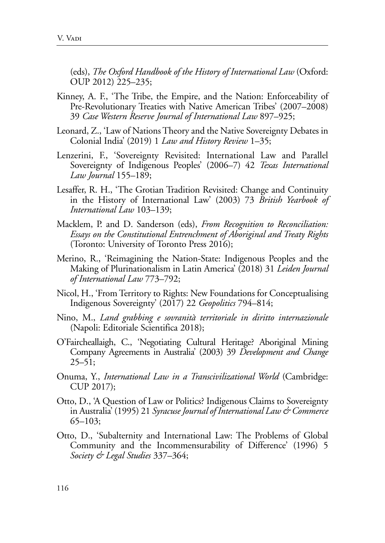(eds), *The Oxford Handbook of the History of International Law* (Oxford: OUP 2012) 225–235;

- Kinney, A. F., 'The Tribe, the Empire, and the Nation: Enforceability of Pre-Revolutionary Treaties with Native American Tribes' (2007–2008) 39 *Case Western Reserve Journal of International Law* 897–925;
- Leonard, Z., 'Law of Nations Theory and the Native Sovereignty Debates in Colonial India' (2019) 1 *Law and History Review* 1–35;
- Lenzerini, F., 'Sovereignty Revisited: International Law and Parallel Sovereignty of Indigenous Peoples' (2006–7) 42 *Texas International Law Journal* 155–189;
- Lesaffer, R. H., 'The Grotian Tradition Revisited: Change and Continuity in the History of International Law' (2003) 73 *British Yearbook of International Law* 103–139;
- Macklem, P. and D. Sanderson (eds), *From Recognition to Reconciliation: Essays on the Constitutional Entrenchment of Aboriginal and Treaty Rights* (Toronto: University of Toronto Press 2016);
- Merino, R., 'Reimagining the Nation-State: Indigenous Peoples and the Making of Plurinationalism in Latin America' (2018) 31 *Leiden Journal of International Law* 773–792;
- Nicol, H., 'From Territory to Rights: New Foundations for Conceptualising Indigenous Sovereignty' (2017) 22 *Geopolitics* 794–814;
- Nino, M., *Land grabbing e sovranità territoriale in diritto internazionale* (Napoli: Editoriale Scientifica 2018);
- O'Faircheallaigh, C., 'Negotiating Cultural Heritage? Aboriginal Mining Company Agreements in Australia' (2003) 39 *Development and Change*  $25 - 51$ ;
- Onuma, Y., *International Law in a Transcivilizational World* (Cambridge: CUP 2017);
- Otto, D., 'A Question of Law or Politics? Indigenous Claims to Sovereignty in Australia' (1995) 21 *Syracuse Journal of International Law & Commerce* 65–103;
- Otto, D., 'Subalternity and International Law: The Problems of Global Community and the Incommensurability of Difference' (1996) 5 *Society & Legal Studies* 337–364;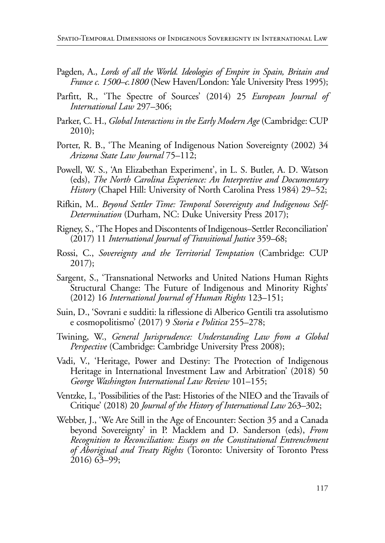- Pagden, A., *Lords of all the World. Ideologies of Empire in Spain, Britain and France c. 1500–c.1800* (New Haven/London: Yale University Press 1995);
- Parfitt, R., 'The Spectre of Sources' (2014) 25 *European Journal of International Law* 297–306;
- Parker, C. H., *Global Interactions in the Early Modern Age* (Cambridge: CUP 2010);
- Porter, R. B., 'The Meaning of Indigenous Nation Sovereignty (2002) 34 *Arizona State Law Journal* 75–112;
- Powell, W. S., 'An Elizabethan Experiment', in L. S. Butler, A. D. Watson (eds), *The North Carolina Experience: An Interpretive and Documentary History* (Chapel Hill: University of North Carolina Press 1984) 29–52;
- Rifkin, M.. *Beyond Settler Time: Temporal Sovereignty and Indigenous Self-Determination* (Durham, NC: Duke University Press 2017);
- Rigney, S., 'The Hopes and Discontents of Indigenous–Settler Reconciliation' (2017) 11 *International Journal of Transitional Justice* 359–68;
- Rossi, C., *Sovereignty and the Territorial Temptation* (Cambridge: CUP 2017);
- Sargent, S., 'Transnational Networks and United Nations Human Rights Structural Change: The Future of Indigenous and Minority Rights' (2012) 16 *International Journal of Human Rights* 123–151;
- Suin, D., 'Sovrani e sudditi: la riflessione di Alberico Gentili tra assolutismo e cosmopolitismo' (2017) 9 *Storia e Politica* 255–278;
- Twining, W., *General Jurisprudence: Understanding Law from a Global Perspective* (Cambridge: Cambridge University Press 2008);
- Vadi, V., 'Heritage, Power and Destiny: The Protection of Indigenous Heritage in International Investment Law and Arbitration' (2018) 50 *George Washington International Law Review* 101–155;
- Ventzke, I., 'Possibilities of the Past: Histories of the NIEO and the Travails of Critique' (2018) 20 *Journal of the History of International Law* 263–302;
- Webber, J., 'We Are Still in the Age of Encounter: Section 35 and a Canada beyond Sovereignty' in P. Macklem and D. Sanderson (eds), *From Recognition to Reconciliation: Essays on the Constitutional Entrenchment of Aboriginal and Treaty Rights* (Toronto: University of Toronto Press 2016) 63–99;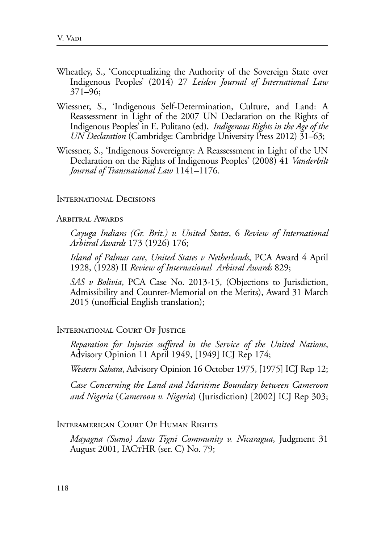- Wheatley, S., 'Conceptualizing the Authority of the Sovereign State over Indigenous Peoples' (2014) 27 *Leiden Journal of International Law*  371–96;
- Wiessner, S., 'Indigenous Self-Determination, Culture, and Land: A Reassessment in Light of the 2007 UN Declaration on the Rights of Indigenous Peoples' in E. Pulitano (ed), *Indigenous Rights in the Age of the UN Declaration* (Cambridge: Cambridge University Press 2012) 31–63;
- Wiessner, S., 'Indigenous Sovereignty: A Reassessment in Light of the UN Declaration on the Rights of Indigenous Peoples' (2008) 41 *Vanderbilt Journal of Transnational Law* 1141–1176.

#### International Decisions

### ARBITRAL AWARDS

*Cayuga Indians (Gr. Brit.) v. United States*, 6 *Review of International Arbitral Awards* 173 (1926) 176;

*Island of Palmas case*, *United States v Netherlands*, PCA Award 4 April 1928, (1928) II *Review of International Arbitral Awards* 829;

*SAS v Bolivia*, PCA Case No. 2013-15, (Objections to Jurisdiction, Admissibility and Counter-Memorial on the Merits), Award 31 March 2015 (unofficial English translation);

#### International Court Of Justice

*Reparation for Injuries suffered in the Service of the United Nations*, Advisory Opinion 11 April 1949, [1949] ICJ Rep 174;

*Western Sahara*, Advisory Opinion 16 October 1975, [1975] ICJ Rep 12;

*Case Concerning the Land and Maritime Boundary between Cameroon and Nigeria* (*Cameroon v. Nigeria*) (Jurisdiction) [2002] ICJ Rep 303;

### Interamerican Court Of Human Rights

*Mayagna (Sumo) Awas Tigni Community v. Nicaragua*, Judgment 31 August 2001, IACTHR (ser. C) No. 79;